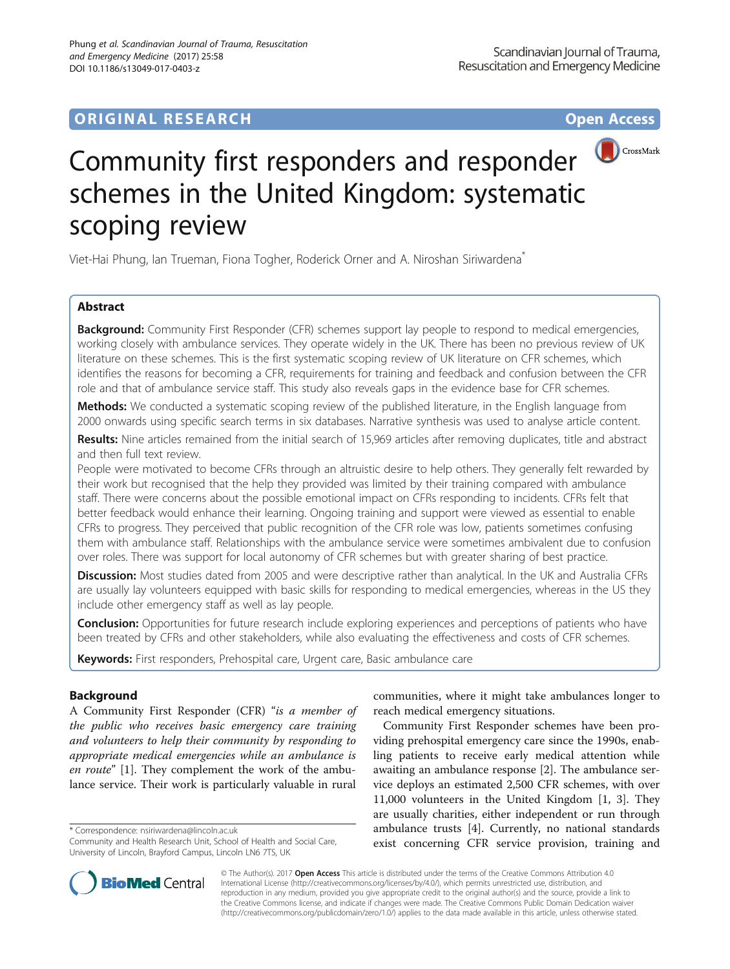## **ORIGINAL RESEARCH CONSUMING ACCESS**



# Community first responders and responder schemes in the United Kingdom: systematic scoping review

Viet-Hai Phung, Ian Trueman, Fiona Togher, Roderick Orner and A. Niroshan Siriwardena<sup>\*</sup>

## Abstract

**Background:** Community First Responder (CFR) schemes support lay people to respond to medical emergencies, working closely with ambulance services. They operate widely in the UK. There has been no previous review of UK literature on these schemes. This is the first systematic scoping review of UK literature on CFR schemes, which identifies the reasons for becoming a CFR, requirements for training and feedback and confusion between the CFR role and that of ambulance service staff. This study also reveals gaps in the evidence base for CFR schemes.

Methods: We conducted a systematic scoping review of the published literature, in the English language from 2000 onwards using specific search terms in six databases. Narrative synthesis was used to analyse article content.

Results: Nine articles remained from the initial search of 15,969 articles after removing duplicates, title and abstract and then full text review.

People were motivated to become CFRs through an altruistic desire to help others. They generally felt rewarded by their work but recognised that the help they provided was limited by their training compared with ambulance staff. There were concerns about the possible emotional impact on CFRs responding to incidents. CFRs felt that better feedback would enhance their learning. Ongoing training and support were viewed as essential to enable CFRs to progress. They perceived that public recognition of the CFR role was low, patients sometimes confusing them with ambulance staff. Relationships with the ambulance service were sometimes ambivalent due to confusion over roles. There was support for local autonomy of CFR schemes but with greater sharing of best practice.

Discussion: Most studies dated from 2005 and were descriptive rather than analytical. In the UK and Australia CFRs are usually lay volunteers equipped with basic skills for responding to medical emergencies, whereas in the US they include other emergency staff as well as lay people.

Conclusion: Opportunities for future research include exploring experiences and perceptions of patients who have been treated by CFRs and other stakeholders, while also evaluating the effectiveness and costs of CFR schemes.

Keywords: First responders, Prehospital care, Urgent care, Basic ambulance care

## Background

A Community First Responder (CFR) "is a member of the public who receives basic emergency care training and volunteers to help their community by responding to appropriate medical emergencies while an ambulance is en route" [\[1](#page-8-0)]. They complement the work of the ambulance service. Their work is particularly valuable in rural

\* Correspondence: [nsiriwardena@lincoln.ac.uk](mailto:nsiriwardena@lincoln.ac.uk)

communities, where it might take ambulances longer to reach medical emergency situations.

Community First Responder schemes have been providing prehospital emergency care since the 1990s, enabling patients to receive early medical attention while awaiting an ambulance response [[2\]](#page-8-0). The ambulance service deploys an estimated 2,500 CFR schemes, with over 11,000 volunteers in the United Kingdom [\[1](#page-8-0), [3](#page-8-0)]. They are usually charities, either independent or run through ambulance trusts [[4\]](#page-8-0). Currently, no national standards exist concerning CFR service provision, training and



© The Author(s). 2017 **Open Access** This article is distributed under the terms of the Creative Commons Attribution 4.0 International License [\(http://creativecommons.org/licenses/by/4.0/](http://creativecommons.org/licenses/by/4.0/)), which permits unrestricted use, distribution, and reproduction in any medium, provided you give appropriate credit to the original author(s) and the source, provide a link to the Creative Commons license, and indicate if changes were made. The Creative Commons Public Domain Dedication waiver [\(http://creativecommons.org/publicdomain/zero/1.0/](http://creativecommons.org/publicdomain/zero/1.0/)) applies to the data made available in this article, unless otherwise stated.

Community and Health Research Unit, School of Health and Social Care, University of Lincoln, Brayford Campus, Lincoln LN6 7TS, UK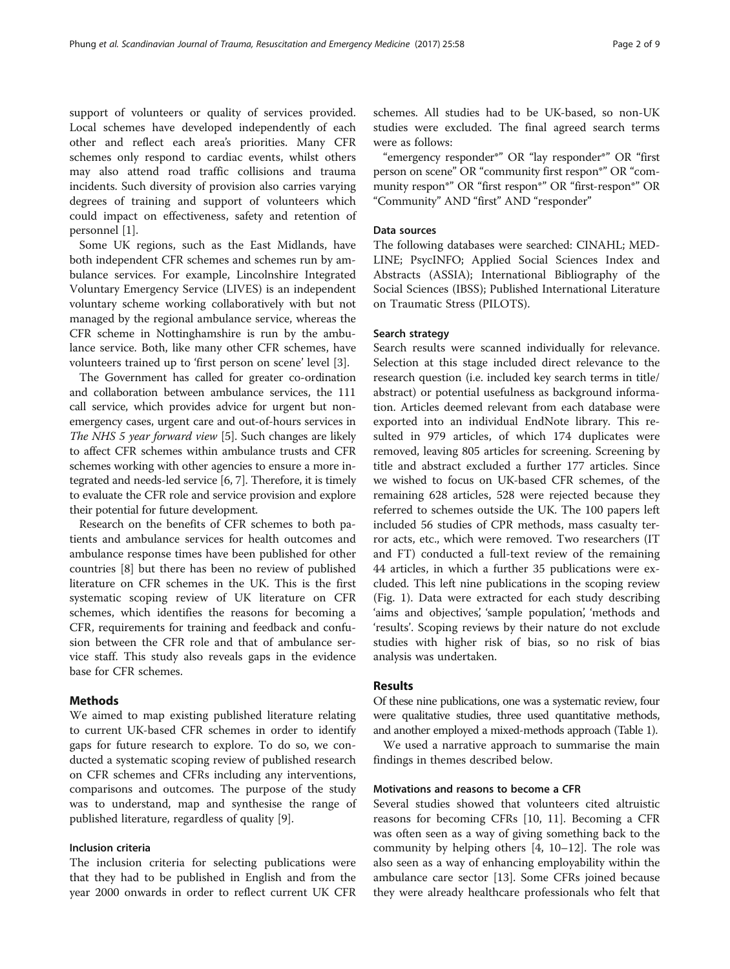support of volunteers or quality of services provided. Local schemes have developed independently of each other and reflect each area's priorities. Many CFR schemes only respond to cardiac events, whilst others may also attend road traffic collisions and trauma incidents. Such diversity of provision also carries varying degrees of training and support of volunteers which could impact on effectiveness, safety and retention of personnel [[1\]](#page-8-0).

Some UK regions, such as the East Midlands, have both independent CFR schemes and schemes run by ambulance services. For example, Lincolnshire Integrated Voluntary Emergency Service (LIVES) is an independent voluntary scheme working collaboratively with but not managed by the regional ambulance service, whereas the CFR scheme in Nottinghamshire is run by the ambulance service. Both, like many other CFR schemes, have volunteers trained up to 'first person on scene' level [\[3](#page-8-0)].

The Government has called for greater co-ordination and collaboration between ambulance services, the 111 call service, which provides advice for urgent but nonemergency cases, urgent care and out-of-hours services in The NHS 5 year forward view [[5](#page-8-0)]. Such changes are likely to affect CFR schemes within ambulance trusts and CFR schemes working with other agencies to ensure a more integrated and needs-led service [[6, 7](#page-8-0)]. Therefore, it is timely to evaluate the CFR role and service provision and explore their potential for future development.

Research on the benefits of CFR schemes to both patients and ambulance services for health outcomes and ambulance response times have been published for other countries [\[8](#page-8-0)] but there has been no review of published literature on CFR schemes in the UK. This is the first systematic scoping review of UK literature on CFR schemes, which identifies the reasons for becoming a CFR, requirements for training and feedback and confusion between the CFR role and that of ambulance service staff. This study also reveals gaps in the evidence base for CFR schemes.

## Methods

We aimed to map existing published literature relating to current UK-based CFR schemes in order to identify gaps for future research to explore. To do so, we conducted a systematic scoping review of published research on CFR schemes and CFRs including any interventions, comparisons and outcomes. The purpose of the study was to understand, map and synthesise the range of published literature, regardless of quality [[9\]](#page-8-0).

## Inclusion criteria

The inclusion criteria for selecting publications were that they had to be published in English and from the year 2000 onwards in order to reflect current UK CFR schemes. All studies had to be UK-based, so non-UK studies were excluded. The final agreed search terms were as follows:

"emergency responder\*" OR "lay responder\*" OR "first person on scene" OR "community first respon\*" OR "community respon\*" OR "first respon\*" OR "first-respon\*" OR "Community" AND "first" AND "responder"

## Data sources

The following databases were searched: CINAHL; MED-LINE; PsycINFO; Applied Social Sciences Index and Abstracts (ASSIA); International Bibliography of the Social Sciences (IBSS); Published International Literature on Traumatic Stress (PILOTS).

## Search strategy

Search results were scanned individually for relevance. Selection at this stage included direct relevance to the research question (i.e. included key search terms in title/ abstract) or potential usefulness as background information. Articles deemed relevant from each database were exported into an individual EndNote library. This resulted in 979 articles, of which 174 duplicates were removed, leaving 805 articles for screening. Screening by title and abstract excluded a further 177 articles. Since we wished to focus on UK-based CFR schemes, of the remaining 628 articles, 528 were rejected because they referred to schemes outside the UK. The 100 papers left included 56 studies of CPR methods, mass casualty terror acts, etc., which were removed. Two researchers (IT and FT) conducted a full-text review of the remaining 44 articles, in which a further 35 publications were excluded. This left nine publications in the scoping review (Fig. [1\)](#page-2-0). Data were extracted for each study describing 'aims and objectives', 'sample population', 'methods and 'results'. Scoping reviews by their nature do not exclude studies with higher risk of bias, so no risk of bias analysis was undertaken.

## Results

Of these nine publications, one was a systematic review, four were qualitative studies, three used quantitative methods, and another employed a mixed-methods approach (Table [1\)](#page-3-0).

We used a narrative approach to summarise the main findings in themes described below.

## Motivations and reasons to become a CFR

Several studies showed that volunteers cited altruistic reasons for becoming CFRs [\[10](#page-8-0), [11\]](#page-8-0). Becoming a CFR was often seen as a way of giving something back to the community by helping others [[4, 10](#page-8-0)–[12\]](#page-8-0). The role was also seen as a way of enhancing employability within the ambulance care sector [[13\]](#page-8-0). Some CFRs joined because they were already healthcare professionals who felt that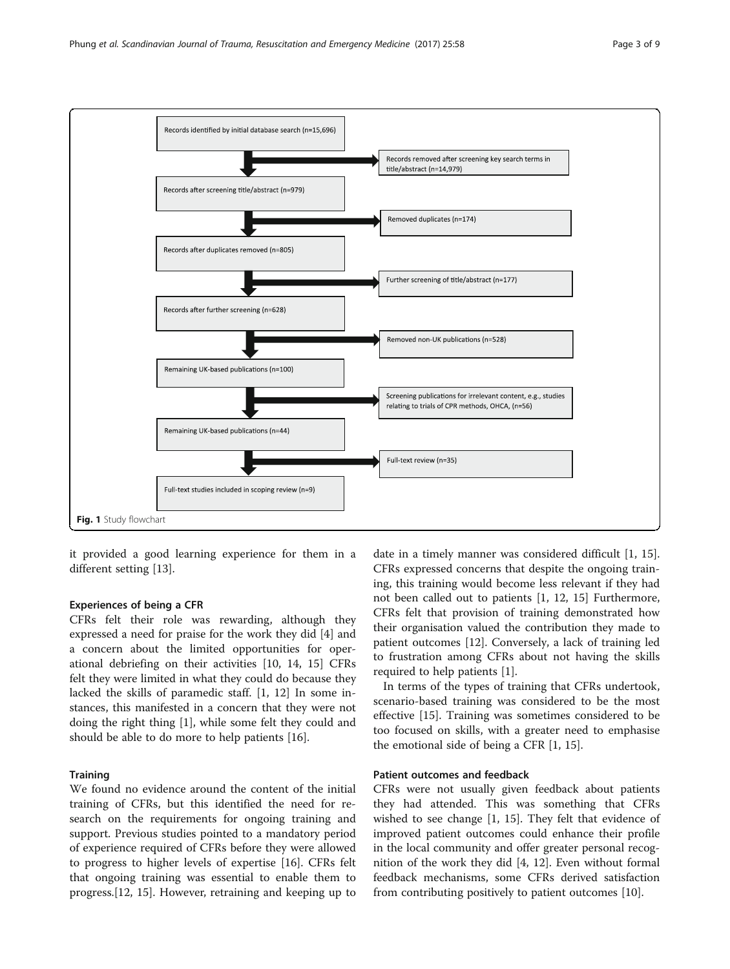

<span id="page-2-0"></span>

it provided a good learning experience for them in a different setting [[13](#page-8-0)].

## Experiences of being a CFR

CFRs felt their role was rewarding, although they expressed a need for praise for the work they did [\[4](#page-8-0)] and a concern about the limited opportunities for operational debriefing on their activities [[10](#page-8-0), [14](#page-8-0), [15\]](#page-8-0) CFRs felt they were limited in what they could do because they lacked the skills of paramedic staff. [[1, 12\]](#page-8-0) In some instances, this manifested in a concern that they were not doing the right thing [\[1](#page-8-0)], while some felt they could and should be able to do more to help patients [[16](#page-8-0)].

## **Training**

We found no evidence around the content of the initial training of CFRs, but this identified the need for research on the requirements for ongoing training and support. Previous studies pointed to a mandatory period of experience required of CFRs before they were allowed to progress to higher levels of expertise [\[16](#page-8-0)]. CFRs felt that ongoing training was essential to enable them to progress.[\[12](#page-8-0), [15\]](#page-8-0). However, retraining and keeping up to

date in a timely manner was considered difficult [[1, 15](#page-8-0)]. CFRs expressed concerns that despite the ongoing training, this training would become less relevant if they had not been called out to patients [\[1, 12, 15](#page-8-0)] Furthermore, CFRs felt that provision of training demonstrated how their organisation valued the contribution they made to patient outcomes [[12](#page-8-0)]. Conversely, a lack of training led to frustration among CFRs about not having the skills required to help patients [\[1\]](#page-8-0).

In terms of the types of training that CFRs undertook, scenario-based training was considered to be the most effective [\[15](#page-8-0)]. Training was sometimes considered to be too focused on skills, with a greater need to emphasise the emotional side of being a CFR [[1, 15\]](#page-8-0).

## Patient outcomes and feedback

CFRs were not usually given feedback about patients they had attended. This was something that CFRs wished to see change [[1, 15](#page-8-0)]. They felt that evidence of improved patient outcomes could enhance their profile in the local community and offer greater personal recognition of the work they did [[4, 12\]](#page-8-0). Even without formal feedback mechanisms, some CFRs derived satisfaction from contributing positively to patient outcomes [\[10](#page-8-0)].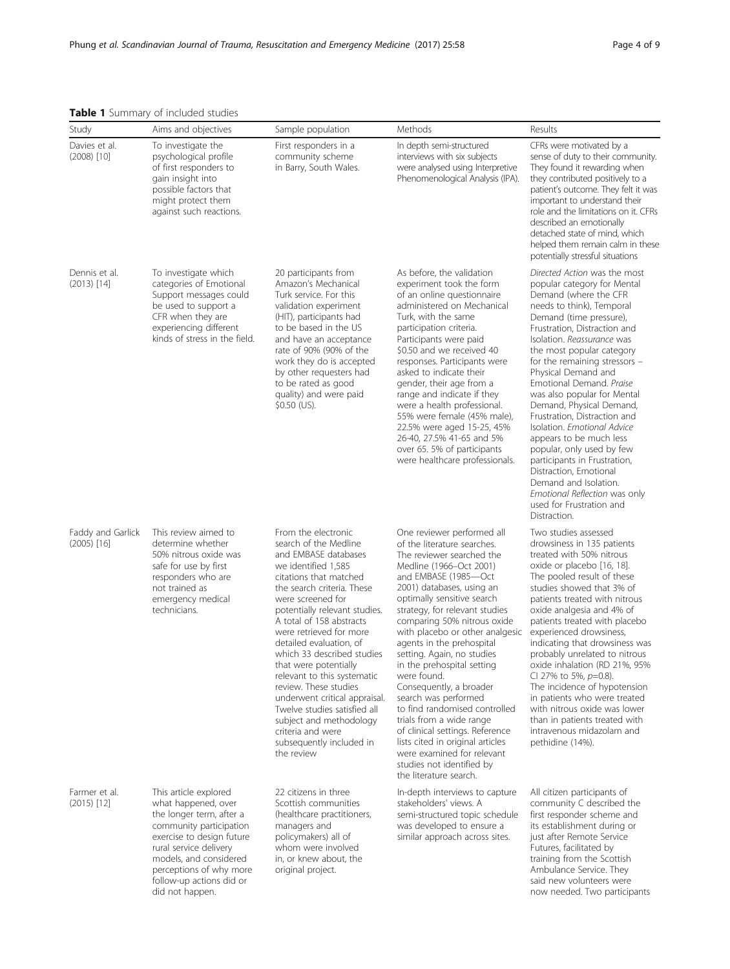<span id="page-3-0"></span>Table 1 Summary of included studies

| Study                              | Aims and objectives                                                                                                                                                                                                                                            | Sample population                                                                                                                                                                                                                                                                                                                                                                                                                                                                                                                                                     | Methods                                                                                                                                                                                                                                                                                                                                                                                                                                                                                                                                                                                                                                                                                      | Results                                                                                                                                                                                                                                                                                                                                                                                                                                                                                                                                                                                                                                                                       |
|------------------------------------|----------------------------------------------------------------------------------------------------------------------------------------------------------------------------------------------------------------------------------------------------------------|-----------------------------------------------------------------------------------------------------------------------------------------------------------------------------------------------------------------------------------------------------------------------------------------------------------------------------------------------------------------------------------------------------------------------------------------------------------------------------------------------------------------------------------------------------------------------|----------------------------------------------------------------------------------------------------------------------------------------------------------------------------------------------------------------------------------------------------------------------------------------------------------------------------------------------------------------------------------------------------------------------------------------------------------------------------------------------------------------------------------------------------------------------------------------------------------------------------------------------------------------------------------------------|-------------------------------------------------------------------------------------------------------------------------------------------------------------------------------------------------------------------------------------------------------------------------------------------------------------------------------------------------------------------------------------------------------------------------------------------------------------------------------------------------------------------------------------------------------------------------------------------------------------------------------------------------------------------------------|
| Davies et al.<br>$(2008)$ [10]     | To investigate the<br>psychological profile<br>of first responders to<br>gain insight into<br>possible factors that<br>might protect them<br>against such reactions.                                                                                           | First responders in a<br>community scheme<br>in Barry, South Wales.                                                                                                                                                                                                                                                                                                                                                                                                                                                                                                   | In depth semi-structured<br>interviews with six subjects<br>were analysed using Interpretive<br>Phenomenological Analysis (IPA).                                                                                                                                                                                                                                                                                                                                                                                                                                                                                                                                                             | CFRs were motivated by a<br>sense of duty to their community.<br>They found it rewarding when<br>they contributed positively to a<br>patient's outcome. They felt it was<br>important to understand their<br>role and the limitations on it. CFRs<br>described an emotionally<br>detached state of mind, which<br>helped them remain calm in these<br>potentially stressful situations                                                                                                                                                                                                                                                                                        |
| Dennis et al.<br>$(2013)$ [14]     | To investigate which<br>categories of Emotional<br>Support messages could<br>be used to support a<br>CFR when they are<br>experiencing different<br>kinds of stress in the field.                                                                              | 20 participants from<br>Amazon's Mechanical<br>Turk service. For this<br>validation experiment<br>(HIT), participants had<br>to be based in the US<br>and have an acceptance<br>rate of 90% (90% of the<br>work they do is accepted<br>by other requesters had<br>to be rated as good<br>quality) and were paid<br>$$0.50$ (US).                                                                                                                                                                                                                                      | As before, the validation<br>experiment took the form<br>of an online questionnaire<br>administered on Mechanical<br>Turk, with the same<br>participation criteria.<br>Participants were paid<br>\$0.50 and we received 40<br>responses. Participants were<br>asked to indicate their<br>gender, their age from a<br>range and indicate if they<br>were a health professional.<br>55% were female (45% male),<br>22.5% were aged 15-25, 45%<br>26-40, 27.5% 41-65 and 5%<br>over 65.5% of participants<br>were healthcare professionals.                                                                                                                                                     | Directed Action was the most<br>popular category for Mental<br>Demand (where the CFR<br>needs to think), Temporal<br>Demand (time pressure),<br>Frustration, Distraction and<br>Isolation. Reassurance was<br>the most popular category<br>for the remaining stressors -<br>Physical Demand and<br>Emotional Demand. Praise<br>was also popular for Mental<br>Demand, Physical Demand,<br>Frustration, Distraction and<br>Isolation, Emotional Advice<br>appears to be much less<br>popular, only used by few<br>participants in Frustration,<br>Distraction, Emotional<br>Demand and Isolation.<br>Emotional Reflection was only<br>used for Frustration and<br>Distraction. |
| Faddy and Garlick<br>$(2005)$ [16] | This review aimed to<br>determine whether<br>50% nitrous oxide was<br>safe for use by first<br>responders who are<br>not trained as<br>emergency medical<br>technicians.                                                                                       | From the electronic<br>search of the Medline<br>and EMBASE databases<br>we identified 1,585<br>citations that matched<br>the search criteria. These<br>were screened for<br>potentially relevant studies.<br>A total of 158 abstracts<br>were retrieved for more<br>detailed evaluation, of<br>which 33 described studies<br>that were potentially<br>relevant to this systematic<br>review. These studies<br>underwent critical appraisal.<br>Twelve studies satisfied all<br>subject and methodology<br>criteria and were<br>subsequently included in<br>the review | One reviewer performed all<br>of the literature searches.<br>The reviewer searched the<br>Medline (1966-Oct 2001)<br>and EMBASE (1985-Oct<br>2001) databases, using an<br>optimally sensitive search<br>strategy, for relevant studies<br>comparing 50% nitrous oxide<br>with placebo or other analgesic<br>agents in the prehospital<br>setting. Again, no studies<br>in the prehospital setting<br>were found.<br>Consequently, a broader<br>search was performed<br>to find randomised controlled<br>trials from a wide range<br>of clinical settings. Reference<br>lists cited in original articles<br>were examined for relevant<br>studies not identified by<br>the literature search. | Two studies assessed<br>drowsiness in 135 patients<br>treated with 50% nitrous<br>oxide or placebo [16, 18].<br>The pooled result of these<br>studies showed that 3% of<br>patients treated with nitrous<br>oxide analgesia and 4% of<br>patients treated with placebo<br>experienced drowsiness,<br>indicating that drowsiness was<br>probably unrelated to nitrous<br>oxide inhalation (RD 21%, 95%<br>CI 27% to 5%, $p=0.8$ ).<br>The incidence of hypotension<br>in patients who were treated<br>with nitrous oxide was lower<br>than in patients treated with<br>intravenous midazolam and<br>pethidine (14%).                                                           |
| Farmer et al.<br>$(2015)$ [12]     | This article explored<br>what happened, over<br>the longer term, after a<br>community participation<br>exercise to design future<br>rural service delivery<br>models, and considered<br>perceptions of why more<br>follow-up actions did or<br>did not happen. | 22 citizens in three<br>Scottish communities<br>(healthcare practitioners,<br>managers and<br>policymakers) all of<br>whom were involved<br>in, or knew about, the<br>original project.                                                                                                                                                                                                                                                                                                                                                                               | In-depth interviews to capture<br>stakeholders' views. A<br>semi-structured topic schedule<br>was developed to ensure a<br>similar approach across sites.                                                                                                                                                                                                                                                                                                                                                                                                                                                                                                                                    | All citizen participants of<br>community C described the<br>first responder scheme and<br>its establishment during or<br>just after Remote Service<br>Futures, facilitated by<br>training from the Scottish<br>Ambulance Service. They<br>said new volunteers were<br>now needed. Two participants                                                                                                                                                                                                                                                                                                                                                                            |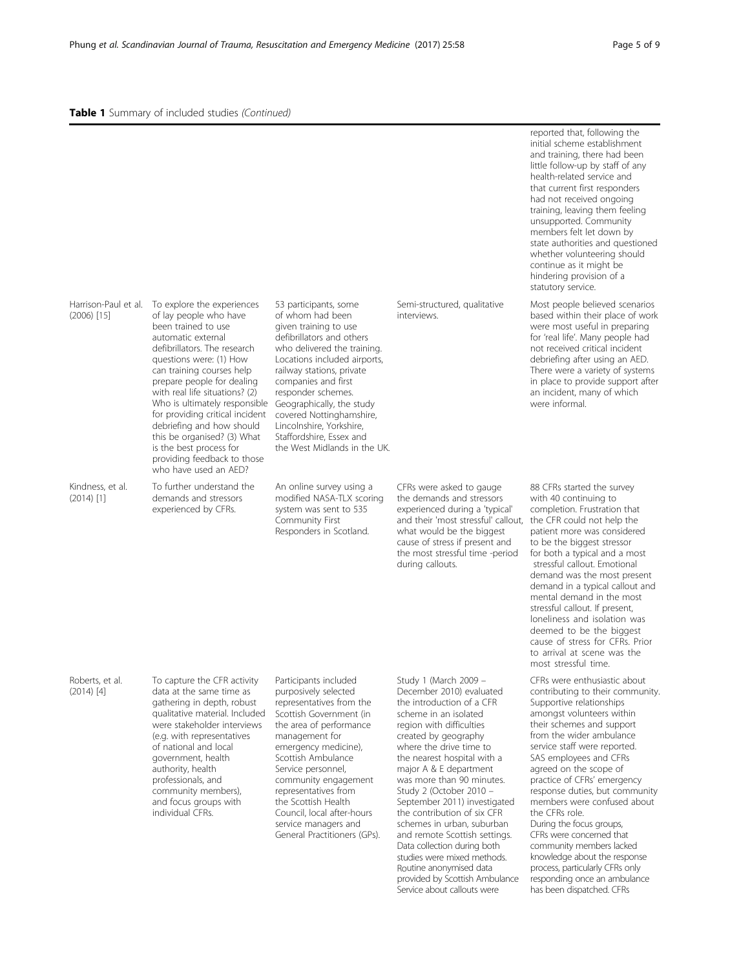## Table 1 Summary of included studies (Continued)

|                                       |                                                                                                                                                                                                                                                                                                                                                                                                                                                                              |                                                                                                                                                                                                                                                                                                                                                                                           |                                                                                                                                                                                                                                                                                                                                                                                                                                                                                                                                | reported that, following the<br>initial scheme establishment<br>and training, there had been<br>little follow-up by staff of any<br>health-related service and<br>that current first responders<br>had not received ongoing<br>training, leaving them feeling<br>unsupported. Community<br>members felt let down by<br>state authorities and questioned<br>whether volunteering should<br>continue as it might be<br>hindering provision of a<br>statutory service.                                                                             |
|---------------------------------------|------------------------------------------------------------------------------------------------------------------------------------------------------------------------------------------------------------------------------------------------------------------------------------------------------------------------------------------------------------------------------------------------------------------------------------------------------------------------------|-------------------------------------------------------------------------------------------------------------------------------------------------------------------------------------------------------------------------------------------------------------------------------------------------------------------------------------------------------------------------------------------|--------------------------------------------------------------------------------------------------------------------------------------------------------------------------------------------------------------------------------------------------------------------------------------------------------------------------------------------------------------------------------------------------------------------------------------------------------------------------------------------------------------------------------|-------------------------------------------------------------------------------------------------------------------------------------------------------------------------------------------------------------------------------------------------------------------------------------------------------------------------------------------------------------------------------------------------------------------------------------------------------------------------------------------------------------------------------------------------|
| Harrison-Paul et al.<br>$(2006)$ [15] | To explore the experiences<br>of lay people who have<br>been trained to use<br>automatic external<br>defibrillators. The research<br>questions were: (1) How<br>can training courses help<br>prepare people for dealing<br>with real life situations? (2)<br>Who is ultimately responsible<br>for providing critical incident<br>debriefing and how should<br>this be organised? (3) What<br>is the best process for<br>providing feedback to those<br>who have used an AED? | 53 participants, some<br>of whom had been<br>given training to use<br>defibrillators and others<br>who delivered the training.<br>Locations included airports,<br>railway stations, private<br>companies and first<br>responder schemes.<br>Geographically, the study<br>covered Nottinghamshire,<br>Lincolnshire, Yorkshire,<br>Staffordshire, Essex and<br>the West Midlands in the UK. | Semi-structured, qualitative<br>interviews.                                                                                                                                                                                                                                                                                                                                                                                                                                                                                    | Most people believed scenarios<br>based within their place of work<br>were most useful in preparing<br>for 'real life'. Many people had<br>not received critical incident<br>debriefing after using an AED.<br>There were a variety of systems<br>in place to provide support after<br>an incident, many of which<br>were informal.                                                                                                                                                                                                             |
| Kindness, et al.<br>$(2014)$ [1]      | To further understand the<br>demands and stressors<br>experienced by CFRs.                                                                                                                                                                                                                                                                                                                                                                                                   | An online survey using a<br>modified NASA-TLX scoring<br>system was sent to 535<br>Community First<br>Responders in Scotland.                                                                                                                                                                                                                                                             | CFRs were asked to gauge<br>the demands and stressors<br>experienced during a 'typical'<br>and their 'most stressful' callout,<br>what would be the biggest<br>cause of stress if present and<br>the most stressful time -period<br>during callouts.                                                                                                                                                                                                                                                                           | 88 CFRs started the survey<br>with 40 continuing to<br>completion. Frustration that<br>the CFR could not help the<br>patient more was considered<br>to be the biggest stressor<br>for both a typical and a most<br>stressful callout. Emotional<br>demand was the most present<br>demand in a typical callout and<br>mental demand in the most<br>stressful callout. If present,<br>loneliness and isolation was<br>deemed to be the biggest<br>cause of stress for CERs. Prior<br>to arrival at scene was the<br>most stressful time.          |
| Roberts, et al.<br>$(2014)$ [4]       | To capture the CFR activity<br>data at the same time as<br>gathering in depth, robust<br>qualitative material. Included<br>were stakeholder interviews<br>(e.g. with representatives<br>of national and local<br>government, health<br>authority, health<br>professionals, and<br>community members),<br>and focus groups with<br>individual CFRs.                                                                                                                           | Participants included<br>purposively selected<br>representatives from the<br>Scottish Government (in<br>the area of performance<br>management for<br>emergency medicine),<br>Scottish Ambulance<br>Service personnel,<br>community engagement<br>representatives from<br>the Scottish Health<br>Council, local after-hours<br>service managers and<br>General Practitioners (GPs).        | Study 1 (March 2009 -<br>December 2010) evaluated<br>the introduction of a CFR<br>scheme in an isolated<br>region with difficulties<br>created by geography<br>where the drive time to<br>the nearest hospital with a<br>major A & E department<br>was more than 90 minutes.<br>Study 2 (October 2010 -<br>September 2011) investigated<br>the contribution of six CFR<br>schemes in urban, suburban<br>and remote Scottish settings.<br>Data collection during both<br>studies were mixed methods.<br>Routine anonymised data | CFRs were enthusiastic about<br>contributing to their community.<br>Supportive relationships<br>amongst volunteers within<br>their schemes and support<br>from the wider ambulance<br>service staff were reported.<br>SAS employees and CFRs<br>agreed on the scope of<br>practice of CFRs' emergency<br>response duties, but community<br>members were confused about<br>the CFRs role.<br>During the focus groups,<br>CFRs were concerned that<br>community members lacked<br>knowledge about the response<br>process, particularly CFRs only |

process, particularly CFRs only responding once an ambulance has been dispatched. CFRs

provided by Scottish Ambulance Service about callouts were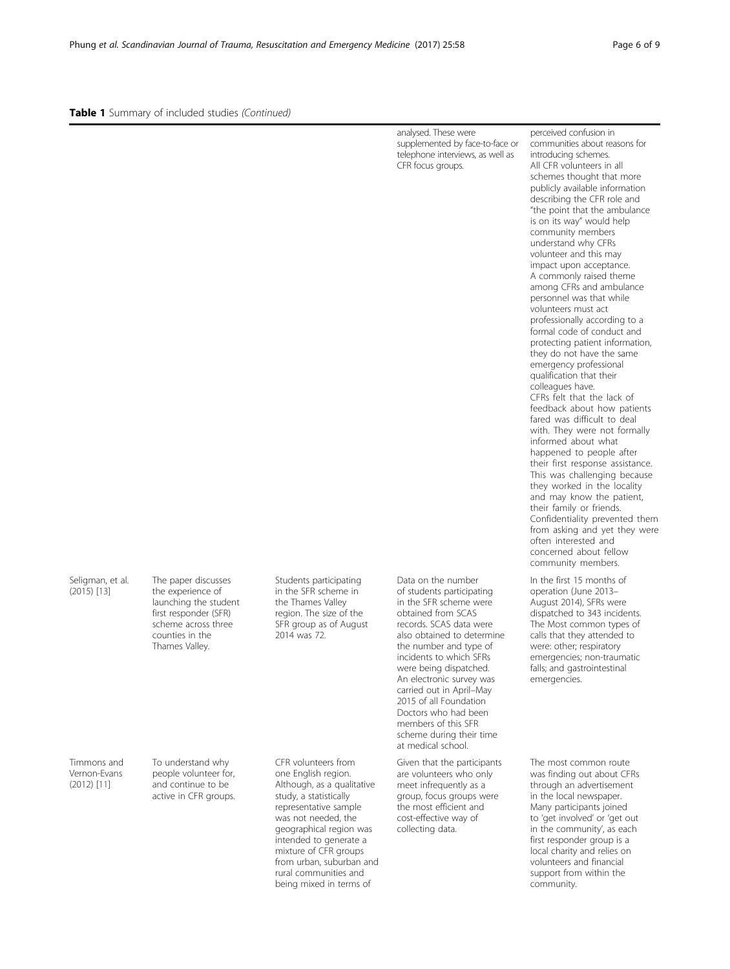Table 1 Summary of included studies (Continued)

|                                              |                                                                                                                                                        |                                                                                                                                                                                                                                                                                                                  | analysed. These were<br>supplemented by face-to-face or<br>telephone interviews, as well as<br>CFR focus groups.                                                                                                                                                                                                                                                                                                           | perceived confusion in<br>communities about reasons for<br>introducing schemes.<br>All CFR volunteers in all<br>schemes thought that more<br>publicly available information<br>describing the CFR role and<br>"the point that the ambulance<br>is on its way" would help<br>community members<br>understand why CFRs<br>volunteer and this may<br>impact upon acceptance.<br>A commonly raised theme<br>among CFRs and ambulance<br>personnel was that while<br>volunteers must act<br>professionally according to a<br>formal code of conduct and<br>protecting patient information,<br>they do not have the same<br>emergency professional<br>qualification that their<br>colleagues have.<br>CFRs felt that the lack of<br>feedback about how patients<br>fared was difficult to deal<br>with. They were not formally<br>informed about what<br>happened to people after<br>their first response assistance.<br>This was challenging because<br>they worked in the locality<br>and may know the patient,<br>their family or friends.<br>Confidentiality prevented them<br>from asking and yet they were<br>often interested and<br>concerned about fellow<br>community members. |
|----------------------------------------------|--------------------------------------------------------------------------------------------------------------------------------------------------------|------------------------------------------------------------------------------------------------------------------------------------------------------------------------------------------------------------------------------------------------------------------------------------------------------------------|----------------------------------------------------------------------------------------------------------------------------------------------------------------------------------------------------------------------------------------------------------------------------------------------------------------------------------------------------------------------------------------------------------------------------|------------------------------------------------------------------------------------------------------------------------------------------------------------------------------------------------------------------------------------------------------------------------------------------------------------------------------------------------------------------------------------------------------------------------------------------------------------------------------------------------------------------------------------------------------------------------------------------------------------------------------------------------------------------------------------------------------------------------------------------------------------------------------------------------------------------------------------------------------------------------------------------------------------------------------------------------------------------------------------------------------------------------------------------------------------------------------------------------------------------------------------------------------------------------------------|
| Seligman, et al.<br>$(2015)$ [13]            | The paper discusses<br>the experience of<br>launching the student<br>first responder (SFR)<br>scheme across three<br>counties in the<br>Thames Valley. | Students participating<br>in the SFR scheme in<br>the Thames Valley<br>region. The size of the<br>SFR group as of August<br>2014 was 72.                                                                                                                                                                         | Data on the number<br>of students participating<br>in the SFR scheme were<br>obtained from SCAS<br>records. SCAS data were<br>also obtained to determine<br>the number and type of<br>incidents to which SFRs<br>were being dispatched.<br>An electronic survey was<br>carried out in April-May<br>2015 of all Foundation<br>Doctors who had been<br>members of this SFR<br>scheme during their time<br>at medical school. | In the first 15 months of<br>operation (June 2013-<br>August 2014), SFRs were<br>dispatched to 343 incidents.<br>The Most common types of<br>calls that they attended to<br>were: other; respiratory<br>emergencies; non-traumatic<br>falls; and gastrointestinal<br>emergencies.                                                                                                                                                                                                                                                                                                                                                                                                                                                                                                                                                                                                                                                                                                                                                                                                                                                                                                  |
| Timmons and<br>Vernon-Evans<br>$(2012)$ [11] | To understand why<br>people volunteer for,<br>and continue to be<br>active in CFR groups.                                                              | CFR volunteers from<br>one English region.<br>Although, as a qualitative<br>study, a statistically<br>representative sample<br>was not needed, the<br>geographical region was<br>intended to generate a<br>mixture of CFR groups<br>from urban, suburban and<br>rural communities and<br>being mixed in terms of | Given that the participants<br>are volunteers who only<br>meet infrequently as a<br>group, focus groups were<br>the most efficient and<br>cost-effective way of<br>collecting data.                                                                                                                                                                                                                                        | The most common route<br>was finding out about CFRs<br>through an advertisement<br>in the local newspaper.<br>Many participants joined<br>to 'get involved' or 'get out<br>in the community', as each<br>first responder group is a<br>local charity and relies on<br>volunteers and financial<br>support from within the<br>community.                                                                                                                                                                                                                                                                                                                                                                                                                                                                                                                                                                                                                                                                                                                                                                                                                                            |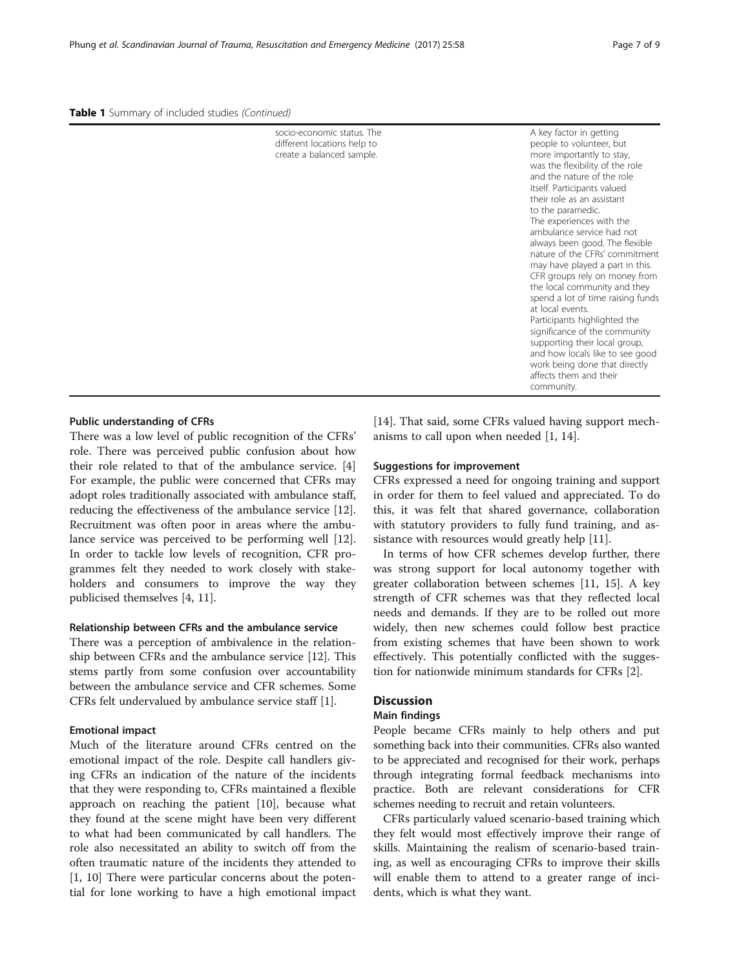#### Table 1 Summary of included studies (Continued)

socio-economic status. The different locations help to create a balanced sample.

| A key factor in getting           |
|-----------------------------------|
| people to volunteer, but          |
| more importantly to stay,         |
| was the flexibility of the role   |
| and the nature of the role        |
| itself. Participants valued       |
| their role as an assistant        |
| to the paramedic.                 |
| The experiences with the          |
| ambulance service had not         |
| always been good. The flexible    |
| nature of the CFRs' commitment    |
| may have played a part in this.   |
| CFR groups rely on money from     |
| the local community and they      |
| spend a lot of time raising funds |
| at local events.                  |
| Participants highlighted the      |
| significance of the community     |
| supporting their local group,     |
| and how locals like to see good   |
| work being done that directly     |
| affects them and their            |
| community.                        |

## Public understanding of CFRs

There was a low level of public recognition of the CFRs' role. There was perceived public confusion about how their role related to that of the ambulance service. [\[4](#page-8-0)] For example, the public were concerned that CFRs may adopt roles traditionally associated with ambulance staff, reducing the effectiveness of the ambulance service [\[12](#page-8-0)]. Recruitment was often poor in areas where the ambulance service was perceived to be performing well [\[12](#page-8-0)]. In order to tackle low levels of recognition, CFR programmes felt they needed to work closely with stakeholders and consumers to improve the way they publicised themselves [\[4](#page-8-0), [11](#page-8-0)].

## Relationship between CFRs and the ambulance service

There was a perception of ambivalence in the relationship between CFRs and the ambulance service [\[12](#page-8-0)]. This stems partly from some confusion over accountability between the ambulance service and CFR schemes. Some CFRs felt undervalued by ambulance service staff [[1\]](#page-8-0).

#### Emotional impact

Much of the literature around CFRs centred on the emotional impact of the role. Despite call handlers giving CFRs an indication of the nature of the incidents that they were responding to, CFRs maintained a flexible approach on reaching the patient [\[10](#page-8-0)], because what they found at the scene might have been very different to what had been communicated by call handlers. The role also necessitated an ability to switch off from the often traumatic nature of the incidents they attended to [[1, 10](#page-8-0)] There were particular concerns about the potential for lone working to have a high emotional impact [[14\]](#page-8-0). That said, some CFRs valued having support mechanisms to call upon when needed [[1, 14\]](#page-8-0).

## Suggestions for improvement

CFRs expressed a need for ongoing training and support in order for them to feel valued and appreciated. To do this, it was felt that shared governance, collaboration with statutory providers to fully fund training, and assistance with resources would greatly help [[11\]](#page-8-0).

In terms of how CFR schemes develop further, there was strong support for local autonomy together with greater collaboration between schemes [[11, 15](#page-8-0)]. A key strength of CFR schemes was that they reflected local needs and demands. If they are to be rolled out more widely, then new schemes could follow best practice from existing schemes that have been shown to work effectively. This potentially conflicted with the suggestion for nationwide minimum standards for CFRs [\[2](#page-8-0)].

## **Discussion**

#### Main findings

People became CFRs mainly to help others and put something back into their communities. CFRs also wanted to be appreciated and recognised for their work, perhaps through integrating formal feedback mechanisms into practice. Both are relevant considerations for CFR schemes needing to recruit and retain volunteers.

CFRs particularly valued scenario-based training which they felt would most effectively improve their range of skills. Maintaining the realism of scenario-based training, as well as encouraging CFRs to improve their skills will enable them to attend to a greater range of incidents, which is what they want.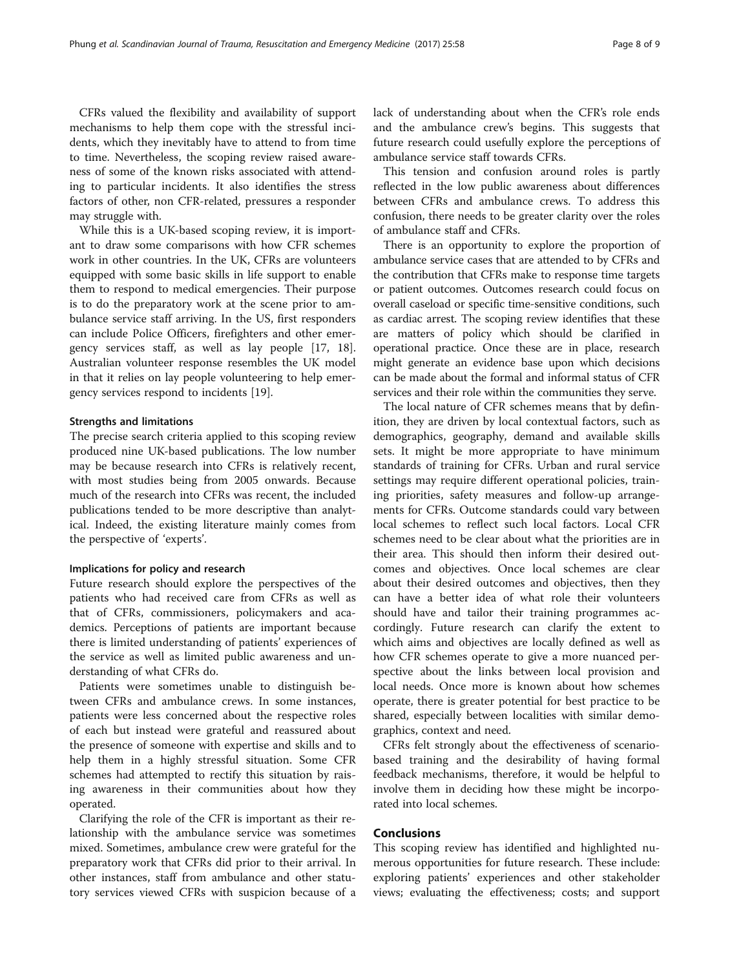CFRs valued the flexibility and availability of support mechanisms to help them cope with the stressful incidents, which they inevitably have to attend to from time to time. Nevertheless, the scoping review raised awareness of some of the known risks associated with attending to particular incidents. It also identifies the stress factors of other, non CFR-related, pressures a responder may struggle with.

While this is a UK-based scoping review, it is important to draw some comparisons with how CFR schemes work in other countries. In the UK, CFRs are volunteers equipped with some basic skills in life support to enable them to respond to medical emergencies. Their purpose is to do the preparatory work at the scene prior to ambulance service staff arriving. In the US, first responders can include Police Officers, firefighters and other emergency services staff, as well as lay people [[17, 18](#page-8-0)]. Australian volunteer response resembles the UK model in that it relies on lay people volunteering to help emergency services respond to incidents [[19\]](#page-8-0).

## Strengths and limitations

The precise search criteria applied to this scoping review produced nine UK-based publications. The low number may be because research into CFRs is relatively recent, with most studies being from 2005 onwards. Because much of the research into CFRs was recent, the included publications tended to be more descriptive than analytical. Indeed, the existing literature mainly comes from the perspective of 'experts'.

## Implications for policy and research

Future research should explore the perspectives of the patients who had received care from CFRs as well as that of CFRs, commissioners, policymakers and academics. Perceptions of patients are important because there is limited understanding of patients' experiences of the service as well as limited public awareness and understanding of what CFRs do.

Patients were sometimes unable to distinguish between CFRs and ambulance crews. In some instances, patients were less concerned about the respective roles of each but instead were grateful and reassured about the presence of someone with expertise and skills and to help them in a highly stressful situation. Some CFR schemes had attempted to rectify this situation by raising awareness in their communities about how they operated.

Clarifying the role of the CFR is important as their relationship with the ambulance service was sometimes mixed. Sometimes, ambulance crew were grateful for the preparatory work that CFRs did prior to their arrival. In other instances, staff from ambulance and other statutory services viewed CFRs with suspicion because of a lack of understanding about when the CFR's role ends and the ambulance crew's begins. This suggests that future research could usefully explore the perceptions of ambulance service staff towards CFRs.

This tension and confusion around roles is partly reflected in the low public awareness about differences between CFRs and ambulance crews. To address this confusion, there needs to be greater clarity over the roles of ambulance staff and CFRs.

There is an opportunity to explore the proportion of ambulance service cases that are attended to by CFRs and the contribution that CFRs make to response time targets or patient outcomes. Outcomes research could focus on overall caseload or specific time-sensitive conditions, such as cardiac arrest. The scoping review identifies that these are matters of policy which should be clarified in operational practice. Once these are in place, research might generate an evidence base upon which decisions can be made about the formal and informal status of CFR services and their role within the communities they serve.

The local nature of CFR schemes means that by definition, they are driven by local contextual factors, such as demographics, geography, demand and available skills sets. It might be more appropriate to have minimum standards of training for CFRs. Urban and rural service settings may require different operational policies, training priorities, safety measures and follow-up arrangements for CFRs. Outcome standards could vary between local schemes to reflect such local factors. Local CFR schemes need to be clear about what the priorities are in their area. This should then inform their desired outcomes and objectives. Once local schemes are clear about their desired outcomes and objectives, then they can have a better idea of what role their volunteers should have and tailor their training programmes accordingly. Future research can clarify the extent to which aims and objectives are locally defined as well as how CFR schemes operate to give a more nuanced perspective about the links between local provision and local needs. Once more is known about how schemes operate, there is greater potential for best practice to be shared, especially between localities with similar demographics, context and need.

CFRs felt strongly about the effectiveness of scenariobased training and the desirability of having formal feedback mechanisms, therefore, it would be helpful to involve them in deciding how these might be incorporated into local schemes.

## Conclusions

This scoping review has identified and highlighted numerous opportunities for future research. These include: exploring patients' experiences and other stakeholder views; evaluating the effectiveness; costs; and support